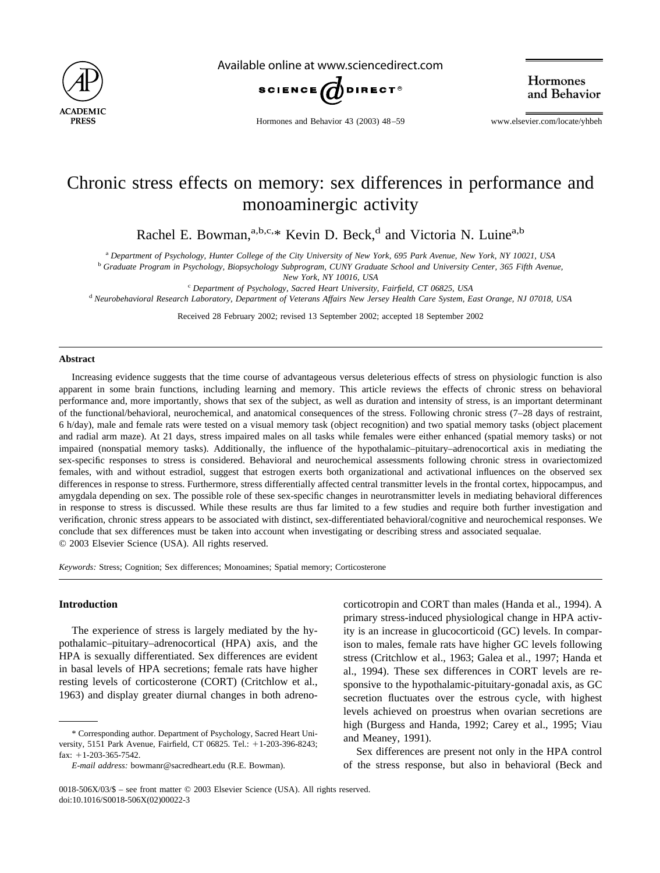

Available online at www.sciencedirect.com



Hormones and Behavior

Hormones and Behavior 43 (2003) 48–59 www.elsevier.com/locate/yhbeh

# Chronic stress effects on memory: sex differences in performance and monoaminergic activity

Rachel E. Bowman,<sup>a,b,c,\*</sup> Kevin D. Beck,<sup>d</sup> and Victoria N. Luine<sup>a,b</sup>

<sup>a</sup> *Department of Psychology, Hunter College of the City University of New York, 695 Park Avenue, New York, NY 10021, USA*

<sup>b</sup> *Graduate Program in Psychology, Biopsychology Subprogram, CUNY Graduate School and University Center, 365 Fifth Avenue,*

*New York, NY 10016, USA*

<sup>c</sup> *Department of Psychology, Sacred Heart University, Fairfield, CT 06825, USA*

<sup>d</sup> *Neurobehavioral Research Laboratory, Department of Veterans Affairs New Jersey Health Care System, East Orange, NJ 07018, USA*

Received 28 February 2002; revised 13 September 2002; accepted 18 September 2002

## **Abstract**

Increasing evidence suggests that the time course of advantageous versus deleterious effects of stress on physiologic function is also apparent in some brain functions, including learning and memory. This article reviews the effects of chronic stress on behavioral performance and, more importantly, shows that sex of the subject, as well as duration and intensity of stress, is an important determinant of the functional/behavioral, neurochemical, and anatomical consequences of the stress. Following chronic stress (7–28 days of restraint, 6 h/day), male and female rats were tested on a visual memory task (object recognition) and two spatial memory tasks (object placement and radial arm maze). At 21 days, stress impaired males on all tasks while females were either enhanced (spatial memory tasks) or not impaired (nonspatial memory tasks). Additionally, the influence of the hypothalamic–pituitary–adrenocortical axis in mediating the sex-specific responses to stress is considered. Behavioral and neurochemical assessments following chronic stress in ovariectomized females, with and without estradiol, suggest that estrogen exerts both organizational and activational influences on the observed sex differences in response to stress. Furthermore, stress differentially affected central transmitter levels in the frontal cortex, hippocampus, and amygdala depending on sex. The possible role of these sex-specific changes in neurotransmitter levels in mediating behavioral differences in response to stress is discussed. While these results are thus far limited to a few studies and require both further investigation and verification, chronic stress appears to be associated with distinct, sex-differentiated behavioral/cognitive and neurochemical responses. We conclude that sex differences must be taken into account when investigating or describing stress and associated sequalae. © 2003 Elsevier Science (USA). All rights reserved.

*Keywords:* Stress; Cognition; Sex differences; Monoamines; Spatial memory; Corticosterone

### **Introduction**

The experience of stress is largely mediated by the hypothalamic–pituitary–adrenocortical (HPA) axis, and the HPA is sexually differentiated. Sex differences are evident in basal levels of HPA secretions; female rats have higher resting levels of corticosterone (CORT) [\(Critchlow et al.,](#page--1-0) [1963\)](#page--1-0) and display greater diurnal changes in both adrenocorticotropin and CORT than males [\(Handa et al., 1994\)](#page--1-0). A primary stress-induced physiological change in HPA activity is an increase in glucocorticoid (GC) levels. In comparison to males, female rats have higher GC levels following stress [\(Critchlow et al., 1963; Galea et al., 1997; Handa et](#page--1-0) [al., 1994\).](#page--1-0) These sex differences in CORT levels are responsive to the hypothalamic-pituitary-gonadal axis, as GC secretion fluctuates over the estrous cycle, with highest levels achieved on proestrus when ovarian secretions are high [\(Burgess and Handa, 1992; Carey et al., 1995; Viau](#page--1-0) [and Meaney, 1991\).](#page--1-0)

Sex differences are present not only in the HPA control of the stress response, but also in behavioral (Beck and

<sup>\*</sup> Corresponding author. Department of Psychology, Sacred Heart University, 5151 Park Avenue, Fairfield, CT 06825. Tel.: +1-203-396-8243; fax:  $+1-203-365-7542$ .

*E-mail address:* bowmanr@sacredheart.edu (R.E. Bowman).

<sup>0018-506</sup>X/03/\$ – see front matter © 2003 Elsevier Science (USA). All rights reserved. doi:10.1016/S0018-506X(02)00022-3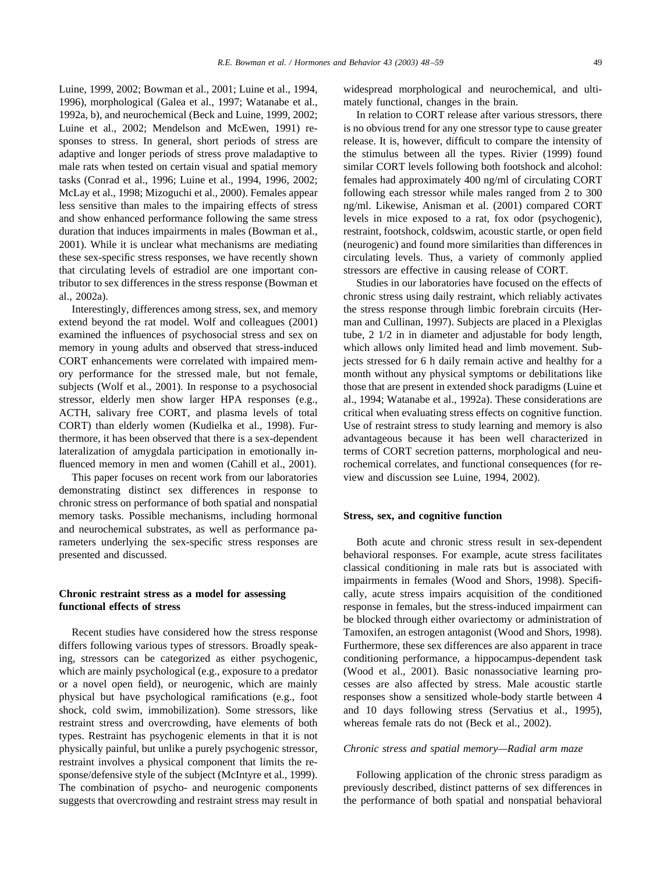Luine, 1999, 2002; Bowman et al., 2001; Luine et al., 1994, [1996\)](#page--1-0), morphological [\(Galea et al., 1997; Watanabe et al.,](#page--1-0) [1992a, b\)](#page--1-0), and neurochemical [\(Beck and Luine, 1999, 2002;](#page--1-0) [Luine et al., 2002; Mendelson and McEwen, 1991\)](#page--1-0) responses to stress. In general, short periods of stress are adaptive and longer periods of stress prove maladaptive to male rats when tested on certain visual and spatial memory tasks [\(Conrad et al., 1996; Luine et al., 1994, 1996, 2002;](#page--1-0) [McLay et al., 1998; Mizoguchi et al., 2000\).](#page--1-0) Females appear less sensitive than males to the impairing effects of stress and show enhanced performance following the same stress duration that induces impairments in males [\(Bowman et al.,](#page--1-0) [2001\)](#page--1-0). While it is unclear what mechanisms are mediating these sex-specific stress responses, we have recently shown that circulating levels of estradiol are one important contributor to sex differences in the stress response [\(Bowman et](#page--1-0) [al., 2002a\).](#page--1-0)

Interestingly, differences among stress, sex, and memory extend beyond the rat model. [Wolf and colleagues \(2001\)](#page--1-0) examined the influences of psychosocial stress and sex on memory in young adults and observed that stress-induced CORT enhancements were correlated with impaired memory performance for the stressed male, but not female, subjects [\(Wolf et al., 2001\).](#page--1-0) In response to a psychosocial stressor, elderly men show larger HPA responses (e.g., ACTH, salivary free CORT, and plasma levels of total CORT) than elderly women [\(Kudielka et al., 1998\).](#page--1-0) Furthermore, it has been observed that there is a sex-dependent lateralization of amygdala participation in emotionally influenced memory in men and women [\(Cahill et al., 2001\)](#page--1-0).

This paper focuses on recent work from our laboratories demonstrating distinct sex differences in response to chronic stress on performance of both spatial and nonspatial memory tasks. Possible mechanisms, including hormonal and neurochemical substrates, as well as performance parameters underlying the sex-specific stress responses are presented and discussed.

# **Chronic restraint stress as a model for assessing functional effects of stress**

Recent studies have considered how the stress response differs following various types of stressors. Broadly speaking, stressors can be categorized as either psychogenic, which are mainly psychological (e.g., exposure to a predator or a novel open field), or neurogenic, which are mainly physical but have psychological ramifications (e.g., foot shock, cold swim, immobilization). Some stressors, like restraint stress and overcrowding, have elements of both types. Restraint has psychogenic elements in that it is not physically painful, but unlike a purely psychogenic stressor, restraint involves a physical component that limits the response/defensive style of the subject [\(McIntyre et al., 1999\)](#page--1-0). The combination of psycho- and neurogenic components suggests that overcrowding and restraint stress may result in widespread morphological and neurochemical, and ultimately functional, changes in the brain.

In relation to CORT release after various stressors, there is no obvious trend for any one stressor type to cause greater release. It is, however, difficult to compare the intensity of the stimulus between all the types. [Rivier \(1999\)](#page--1-0) found similar CORT levels following both footshock and alcohol: females had approximately 400 ng/ml of circulating CORT following each stressor while males ranged from 2 to 300 ng/ml. Likewise, [Anisman et al. \(2001\)](#page--1-0) compared CORT levels in mice exposed to a rat, fox odor (psychogenic), restraint, footshock, coldswim, acoustic startle, or open field (neurogenic) and found more similarities than differences in circulating levels. Thus, a variety of commonly applied stressors are effective in causing release of CORT.

Studies in our laboratories have focused on the effects of chronic stress using daily restraint, which reliably activates the stress response through limbic forebrain circuits [\(Her](#page--1-0)[man and Cullinan, 1997\).](#page--1-0) Subjects are placed in a Plexiglas tube, 2 1/2 in in diameter and adjustable for body length, which allows only limited head and limb movement. Subjects stressed for 6 h daily remain active and healthy for a month without any physical symptoms or debilitations like those that are present in extended shock paradigms [\(Luine et](#page--1-0) [al., 1994; Watanabe et al., 1992a\)](#page--1-0). These considerations are critical when evaluating stress effects on cognitive function. Use of restraint stress to study learning and memory is also advantageous because it has been well characterized in terms of CORT secretion patterns, morphological and neurochemical correlates, and functional consequences (for review and discussion see [Luine, 1994, 2002\).](#page--1-0)

#### **Stress, sex, and cognitive function**

Both acute and chronic stress result in sex-dependent behavioral responses. For example, acute stress facilitates classical conditioning in male rats but is associated with impairments in females [\(Wood and Shors, 1998\)](#page--1-0). Specifically, acute stress impairs acquisition of the conditioned response in females, but the stress-induced impairment can be blocked through either ovariectomy or administration of Tamoxifen, an estrogen antagonist [\(Wood and Shors, 1998\)](#page--1-0). Furthermore, these sex differences are also apparent in trace conditioning performance, a hippocampus-dependent task [\(Wood et al., 2001\).](#page--1-0) Basic nonassociative learning processes are also affected by stress. Male acoustic startle responses show a sensitized whole-body startle between 4 and 10 days following stress [\(Servatius et al., 1995\)](#page--1-0), whereas female rats do not (Beck et al., 2002).

### *Chronic stress and spatial memory—Radial arm maze*

Following application of the chronic stress paradigm as previously described, distinct patterns of sex differences in the performance of both spatial and nonspatial behavioral